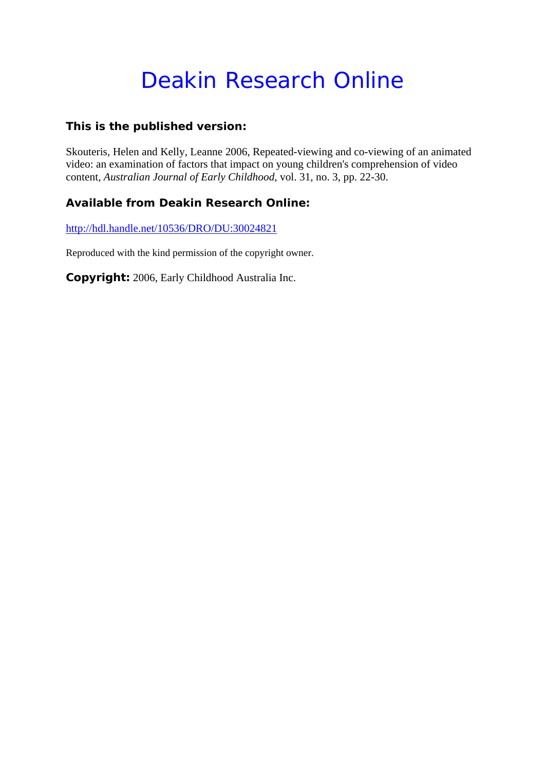# Deakin Research Online

## **This is the published version:**

Skouteris, Helen and Kelly, Leanne 2006, Repeated-viewing and co-viewing of an animated video: an examination of factors that impact on young children's comprehension of video content*, Australian Journal of Early Childhood*, vol. 31, no. 3, pp. 22-30.

# **Available from Deakin Research Online:**

http://hdl.handle.net/10536/DRO/DU:30024821

Reproduced with the kind permission of the copyright owner.

**Copyright:** 2006, Early Childhood Australia Inc.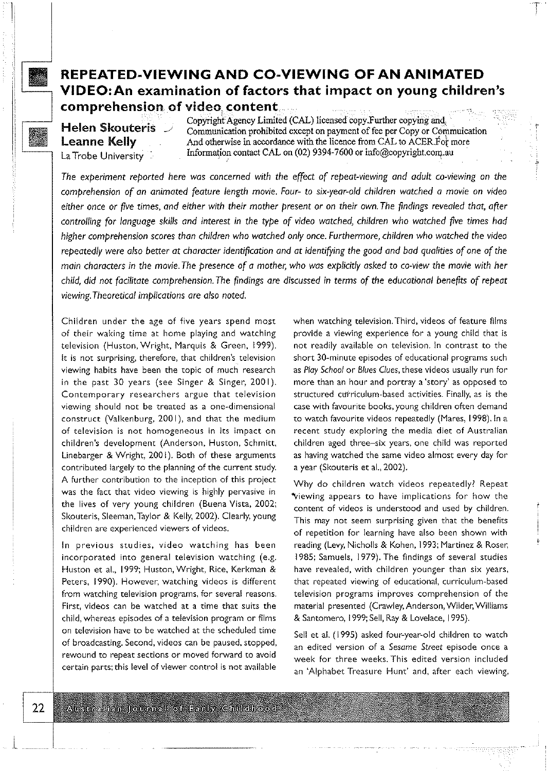

# **REPEATED-VIEWING AND CO-VIEWING OF AN ANIMATED<br>THEO: An examination of factors that impact on young childre<br>comprehension of video content VIDEO:An** examination of factors that impact on young children's **comprehension of video, content**<br>
Copyright Agency Limited (CAL) licensed copy.Further copying and<br>
Communication prohibited except on payment of fee per Copy or Com

**Helen Skouteris**  $\angle$  Communication prohibited except on payment of fee per Copy or Communication **Leanne Kelly**  $\angle$  And otherwise in accordance with the licence from CAL to ACER For more And otherwise in accordance with the licence from CAL to ACER.For more La Trobe University Information contact CAL on (02) 9394-7600 or info@copyright.com.au

*The experiment reported here was concerned with the effect* of *repeat-viewing and adult co-viewing* on *the comprehension* of *an animated feature length* movie. *Four-* to *six-year-old children watched a* movie *on video*  either once or five times, and either with their mother present or on their own. The findings revealed that, after *controlling for language skills and interest in the type of video watched, children who watched five times had higher comprehension* scores *than children who watched only once. Furthermore, children who watched the video repeatedly were also better at character identification and at identifying the good and bad qualities of one of the main characters in the movie. The presence* of *a mother, who was explicitly asked* to *co-view the movie with her child, did not facilitate comprehension. The rndings are discussed* in terms of *the educational* benerts of *repeat viewing. Theoretical implications are a/so noted.* 

Children under the age of five years spend most of their waking time at home playing and watching television (Huston, Wright, Marquis & Green, 1999). It is not surprising, therefore, that children's television viewing habits have been the topic of much research in the past 30 years (see Singer & Singer, 2001). Contemporary researchers argue that television viewing should not be treated as a one-dimensional construct (Valkenburg, 2001), and that the medium of television is not homogeneous in its impact on children's development (Anderson, Huston, Schmitt, Linebarger & Wright, 2001). Both of these arguments contributed largely to the planning of the current study. A further contribution to the inception of this project was the fact that video viewing is highly pervasive in the lives of very young children (Buena Vista, 2002; Skouteris, Sleeman, Taylor & Kelly, 2002). Clearly, young children are experienced viewers of videos.

In previous studies, video watching has been incorporated into general television watching (e.g. Huston et al., 1999; Huston, Wright, Rice, Kerkman & Peters, 1990). However, watching videos is different from watching television programs, for several reasons. First, videos can be watched at a time that suits the child, whereas episodes of a television program or films on television have to be watched at the scheduled time of broadcasting. Second, videos can be paused, stopped, rewound to repeat sections or moved forward to avoid certain parts; this level of viewer control is not available

when watching television. Third, videos of feature films provide a viewing experience for a young child that is not readily available on television. In contrast to the short 30-minute episodes of educational programs such as *Play School* or Blues Clues, these videos usually run for more than an hour and portray a 'story' as opposed to structured curriculum-based activities. Finally, as is the case with favourite books, young children often demand to watch favourite videos repeatedly (Mares, 1998). In a recent study exploring the media diet of Australian children aged three·-six years, one child was reported as having watched the same video almost every day for a year (Skouteris et al., 2002),

T

Why do children watch videos repeatedly? Repeat "\riewing appears to have implications for how the content of videos is understood and used by children. This may not seem surprising given that the benefits of repetition for learning have also been shown with reading (Levy, Nicholls & Kohen, 1993; Martinez & Roser, 1985; Samuels, ! 979). The findings of several studies have revealed, with children younger than six years, that repeated viewing of educational, curriculum~based television programs improves comprehension of the material presented (Crawley, Anderson, Wilder, Williams & Santomero, 1999: Sell, Ray & Lovelace, 1995),

Sell et al. (1995) asked four-year-old children to watch an edited version of a Sesame *Street* episode once a week for three weeks. This edited version included an 'Alphabet Treasure Hunt' and, after each viewing,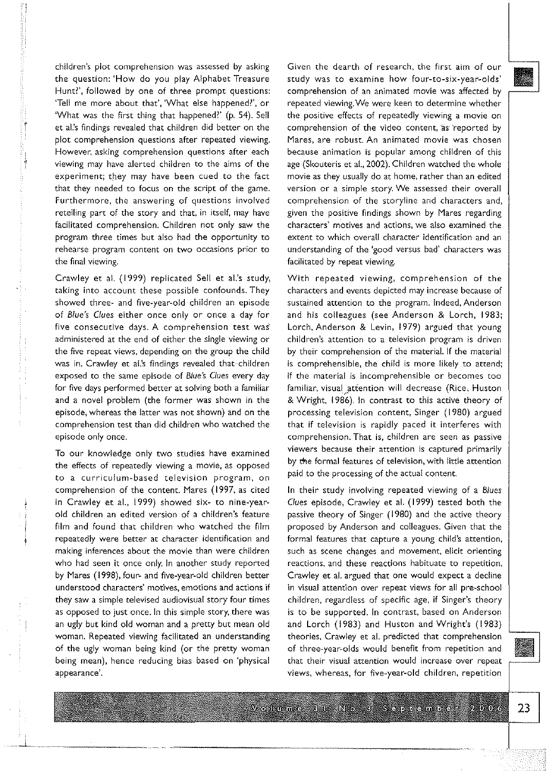children's plot comprehension was assessed by asking the question: 'How do you play Alphabet Treasure Hunt?', followed by one of three prompt questions: 'Tell me more about that', 'What else happened?', or 'What was the first thing that happened?' (p. 54). Sell et al.'s findings revealed that children did better on the plot comprehension questions after repeated viewing. However, asking comprehension questions after each viewing may have alerted children to the aims of the experiment; they may have been cued to the fact that they needed to focus on the script of the game. Furthermore, the answering of questions involved retelling part of the story and that, in itself, may have facilitated comprehension. Children not only saw the program three times but also had the opportunity to rehearse program content on two occasions prior to the final viewing.

Crawley et aL (1999) replicated Sell et al.'s study, taking into account these possible confounds. They showed three- and five-year-old children an episode of Blue's Clues either once only or once a day for five consecutive days. A comprehension test *wai;*  administered at the end of either the single viewing or the five repeat views, depending on the group the child was in. Crawley et al.'s findings revealed that-children exposed to the same episode of Blue's Clues every day for five days performed better at solving both a familiar and a novel problem (the former was shown in the episode, whereas the latter was not shown) and on the comprehension test than did children who watched the episode only once.

To our knowledge only two studies have examined the effects of repeatedly viewing a movie, as opposed to a curriculum-based television program, on comprehension of the content. Mares (1997, as cited in Crawley et aI., 1999) showed six- to nine-yearold children an edited version of a children's feature film and found that children who watched the film repeatedly were better at character identification and making inferences about the movie than were children who had seen it once only. In another study reported by Mares (1998), four- and five-year-old children better understood characters' motives, emotions and actions if they saw a simple televised audiovisual story four times as opposed to just once. In this simple story, there was an ugly but kind old woman and a pretty but mean old woman. Repeated viewing facilitated an understanding of the ugly woman being kind (or the pretty woman being mean), hence reducing bias based on 'physical appearance',

Given the dearth of research, the first aim of our study was to examine how four-to-six-year-olds' comprehension of an animated movie was affected by repeated viewing. We were keen to determine whether the positive effects of repeatedly viewing a movie on comprehension of the video content, as 'reported by Mares, are robust. An animated movie was chosen because animation is popular among children of this age (Skouteris et al., 2002). Children watched the whole movie as they usually do at home, rather than an edited version or a simple story. We assessed their overall comprehension of the storyline and characters and, given the positive findings shown by Mares regarding characters' motives and actions, we also examined the extent to which overall character identification and an understanding of the 'good versus bad' characters was facilitated by repeat viewing.

With repeated viewing, comprehension of the characters and events depicted may increase because of sustained attention to the program. Indeed, Anderson and his colleagues (see Anderson & Lorch, 1983; Lorch, Anderson & Levin, 1979) argued that young children's attention to a television program is driven by their comprehension of the material. If the materia! is comprehensible, the child is more likely to attend; if the material is incomprehensible or becomes too familiar, visual attention will decrease (Rice, Huston & Wright, ! 986). In contrast to this active theory of processing television content, Singer (1980) argued that if television is rapidly paced it interferes with comprehension. That is, children are seen as passive viewers because their attention is captured' primarily by the formal features of television, with little attention paid to the processing of the actual content.

In their study involving repeated viewing of a Blues Clues episode, Crawley et al. (1999) tested both the passive theory of Singer (1980) and the active theory proposed by Anderson and colleagues. Given that the formal features that capture a young child's attention, such as scene changes and movement, elicit orienting reactions, and these reactions habituate to repetition, Crawley et al. argued that one would expect a decline in visual attention over repeat views for all pre~school children, regardless of specific age, if Singer's theory is to be supported. In contrast, based on Anderson and Lorch (1983) and Huston and Wright's (1983) theories, Crawley et al. predicted that comprehension of three-year-olds would benefit from repetition and that their visual attention would increase over repeat views, whereas, for five-year-old children, repetition

23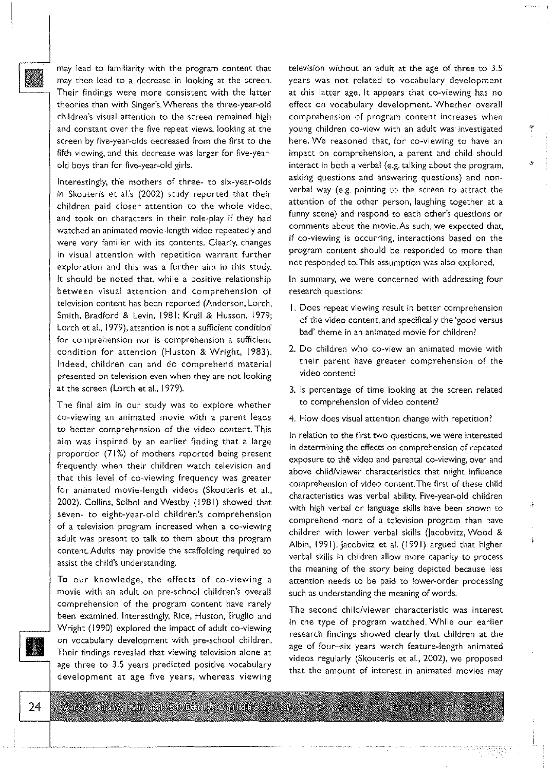1

may lead to familiarity with the program content that may then lead to a decrease in looking at the screen. Their findings were more consistent with the latter theories than with Singer's. Whereas the three-year-old children's visual attention to the screen remained high and constant over the five repeat views, looking at the screen by five-year-olds decreased from the first to the fifth viewing, and this decrease was larger for five-yearold boys than for five-year-old girls.

Interestingly, the mothers of three- to six-year-alds in Skouteris et al.'5 (2002) study reported that their children paid doser attention to the whole video, and took on characters in their role-play if they had watched an animated movie-length video repeatedly and were very familiar with its contents. Clearly, changes in visual attention with repetition warrant further exploration and this was a further aim in this study. It should be noted that, while a positive relationship between visual attention and comprehension of television content has been reported (Anderson, Lorch, Smith, Bradford & Levin, 1981; Krull & Husson, 1979; Lorch et al., 1979), attention is not a sufficient condition' for comprehension nor is comprehension a sufficient condition for attention (Huston & Wright, 1983). Indeed, children can and do comprehend material presented on television even when they are not looking at the screen (Lorch et al., 1979).

The final aim in our study was to explore whether co-viewing an animated movie With a parent leads to better comprehension of the video content. This aim was inspired by an earlier finding that a large proportion (71%) of mothers reported being present frequently when their children watch television and that this leve! of co-viewing frequency was greater for animated mOVie-length videos (Skouteris et al., 2002). Collins. Solbol and Westby (1981) showed that seven- to eight-year-old children's comprehension of a television program increased when a co-viewing adult was present to talk to them about the program content. Adults may provide the scaffolding required to assist the child's understanding.

ee<br>
Wr<br>
m<br>
m<br>
age<br>
dev<br>
dev To our knowledge, the effects of co-viewing a movie with an adult on pre-school children's overall comprehension of the program content have rarely been examined. Interestingly, Rice, Huston, Truglio and Wright (1990) explored the impact of adult co-viewing on vocabulary development with pre-school children. Their findings revealed that viewing television alone at age three to 3.5 years predicted positive vocabulary development at age five years, whereas viewing

television without an adult at the age of three to 3,5 years was not related to vocabulary development at this latter age. It appears that co-viewing has no effect on vocabulary development. Whether overall comprehension of program content increases when young children co~view With an adult was' investigated here. We reasoned that, for co-viewing to have an impact on comprehension, a parent and child should interact in both a verbal (e.g. talking about the program, asking questions and answering questions) and nonverbal way (e.g. pointing to the screen to attract the attention of the other person, laughing together at a funny scene) and respond to each other's questions or comments about the movie. As such, we expected that, if CO-Viewing is occurring, interactions based on the program content should be responded to more than not responded to. This assumption was also explored.

"

In summary, we were concerned with addressing four research questions:

- I. Does repeat viewing result in better comprehension of the video content, and specifically the 'good versus bad' theme in an animated movie for children?
- 2. Do children who co-view an animated movie with their parent have greater comprehension of the video content?
- 3. Is percentage of time looking at the screen related to comprehension of video content?
- 4. How does visual attention change with repetition?

In relation to the first two questions, we were interested in determining the effects on comprehension of repeated exposure to the video and parental co-viewing, over and above child/viewer characteristics that might influence comprehension of video content. The first of these child characteristics was verbal ability. Five-year~old children with high verbal or language skills have been shown to comprehend more of a television program than have children with lower verbal skills (Jacobvitz, Wood & Albin, 1991). Jacobvitz et al. (1991) argued that higher verbal skills in children allow more capacity to process the meaning of the story being depicted because less attention needs to be paid to lower-order processing such as understanding the meaning of words.

The second child/viewer characteristic was interest in the type of program watched. While our earlier research findings showed dearly that children at the age of four-six years watch feature-length animated videos regularly (Skouteris et al., 2002), we proposed that the amount of interest in animated movies may

#### Australizy Journal of Early Childhood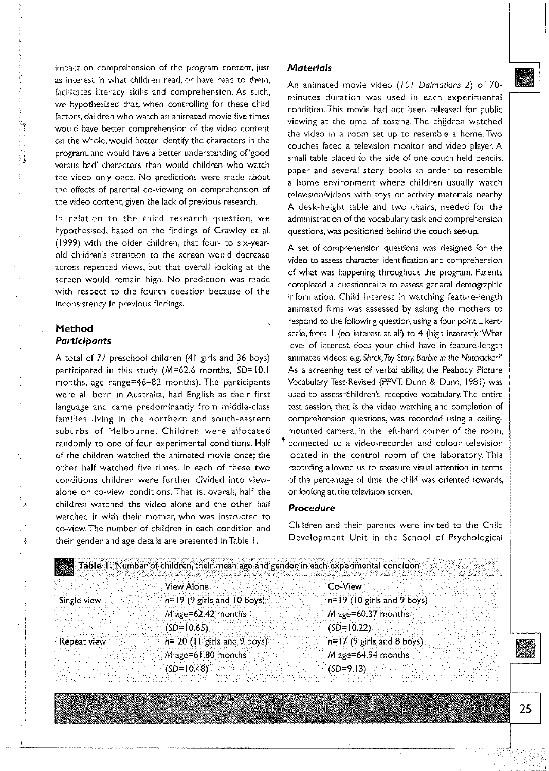impact on comprehension of the program 'content, just as interest in what children read, or have read to them, facilitates literacy skills and comprehension. As such, we hypothesised that, when controlling for these child factors, children who watch an animated movie five times would have better comprehension of the video content on the whole, would better identify the characters in the program, and would have a better understanding of 'good versus bad' characters than would children who watch the video only once. No predictions were made about the effects of parental co-viewing on comprehension of the video content, given the lack of previous research.

In relation to the third research question, we hypothesised, based on the findings of Crawley et at. (1999) with the older children, that four~ to six-year~ old children's attention to the screen would decrease across repeated views, but that overall looking at the screen would remain high. No prediction was made with respect to the fourth question because of the inconsistency in previous findings.

## Method *Participants*

·•

A total of 77 preschool children (41 girls and 36 boys) participated in this study (M=62.6 months, SD=IO.I months, age range=46-82 months). The participants were all born in Australia, had English as their first language and came predominantly from middle~class families living in the northern and south-eastern suburbs of Melbourne. Children were allocated randomly to one of four experimental conditions. Half of the children watched the animated movie once; the other half watched five times. In each of these two conditions children were further divided into view~ alone or co-view conditions. That is, overall, half the children watched the video alone and the other half watched it with their mother, who was instructed to co~view. The number of children in each condition and their gender and age details are presented in Table ! .

#### *Materials*

An animated movie video *(101 Da/matians* 2) of 70 minutes duration was used in each experimental condition. This movie had not been released for public viewing at the time of testing. The children watched the video in a room set up to resemble a home. Two couches faced a television monitor and video player. A small table placed to the side of one couch held pencils, paper and several story books in order to resemble a home environment where children usually watch television/videos with toys or activity materials nearby. A desk-height table and two chairs, needed for the administration of the vocabulary task and comprehension questions, was positioned behind the couch set-up.

A set of comprehension questions was designed for the video to assess character identification and comprehension of what was happening throughout the program. Parents completed a questionnaire to assess genera! demographic information. Child interest in watching feature-length animated films was assessed by asking the mothers to respond to the following question, using a four point Likertscale, from I (no interest at all) to 4 (high interest): 'What level of interest does your child have in feature~length animated videos; e.g. *Shrek, Toy Story, Barbie in the Nutcracker?'*  As a screening test of verbal ability, the Peabody Picture Vocabulary Test~Revjsed (PPVT, Dunn & Dunn, 198!) was used to assess children's receptive vocabulary. The entire test session, that is the video watching and completion of comprehension questions, was recorded using a ceilingmounted camera, in the left~hand corner of the room, <sup>~</sup>connected to a video-recorder and colour television

located in the control room of the laboratory. This recording allowed us to measure visual attention in terms of the percentage of time the child was oriented towards, or looking at, the television screen.

#### Procedure

Children and their parents were invited to the Child Development Unit in the School of Psychological

|                          | View Alone                      | Co-View                       |
|--------------------------|---------------------------------|-------------------------------|
| Single view <sup>:</sup> | $n=19$ (9 girls and 10 boys)    | $n=19$ (10 girls and 9 boys). |
|                          | M age=62.42 months              | M age=60.37 months            |
|                          | $(SD=10.65)$                    | $(SD=10.22)$                  |
| Repeat view              | $n = 20$ (1 F girls and 9 boys) | $n=17$ (9 girls and 8 boys)   |
|                          | M age=61.80 months              | M age=64.94 months            |
|                          | $(SD=10.48)$                    | $(SD=9.13)$                   |

• **Table I.** Number of children, their mean age and gender, in each experimental condition

Volume 3 No 3 Septembe  $2006$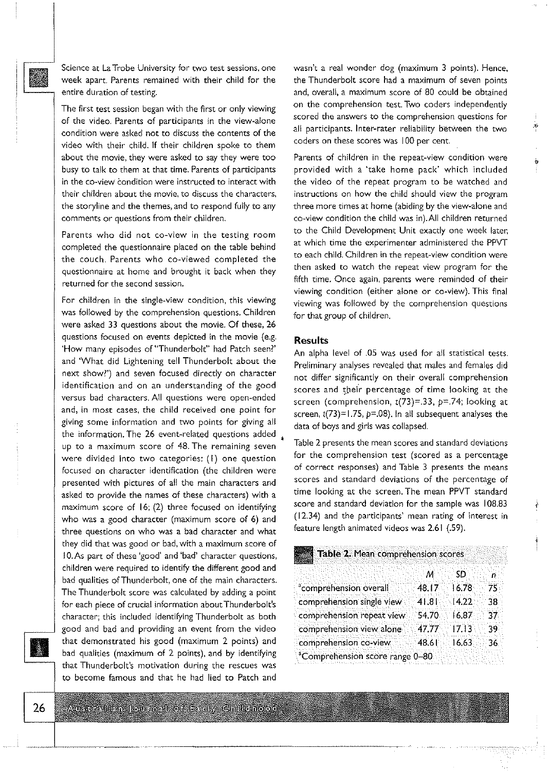Science at La Trobe University for two test sessions, one week apart. Parents remained with their child for the entire duration of testing.

26

The first test session began with the first or only viewing of the video. Parents of participants in the view~a!one condition were asked not to discuss the contents of the video with their child. If their children spoke to them about the movie, they were asked to say they were too busy to talk to them at that time. Parents of participants in the co~view condition were instructed to interact with their children about the movie, to discuss the characters, the storyline and the themes, and to respond fully to any comments or questions from their children.

Parents who did not co-view in the testing room completed the questionnaire placed on the table behind the couch. Parents who co-viewed completed the questionnaire at home and brought it back when they returned for the second session.

ena<br>
goc<br>
that<br>
bad<br>
that<br>
to For children in the Single-view condition, this viewing was followed by the comprehension questions. Children were asked 33 questions about the movie. Of these, 26 questions focused on events depicted in the movie (e.g. 'How many episodes of "Thunderbolt" had Patch seen?' and 'What did Lightening tell Thunderbolt about the next show?') and seven focused directly on character identification and on an understanding of the good versus bad characters. All questions were open~ended and, in most cases, the child received one point for giving some information and two points for giving all the information. The 26 event-related questions added up to a maximum score of 48. The remaining seven were diVided into two categories: (I) one question focused on character identification (the children were presented with pictures of all the main characters and asked to provide the names of these characters) with a maximum score of 16; (2) three focused on identifying who was a good character (maximum score of 6) and three questions on who was a bad character and what they did that was good or bad, with a maximum score of 10.As part of these 'good' and 'bad' character questions, children were required to identify the different good and bad qualities of Thunderbolt, one of the main characters. The Thunderbolt score was calculated by adding a point for each piece of crucial information about Thunderbolt's character; this included identifying Thunderbolt as both good and bad and providing an event from the video that demonstrated his good (maximum 2 points) and bad qualities (maximum of 2 points), and by identifying that Thunderbolt's motivation during the rescues was to become famous and that he had lied to Patch and

wasn't a real wonder dog (maximum 3 points). Hence, the Thunderbolt score had a maximum of seven points and, overall, a maximum score of 80 could be obtained on the comprehension test. Two coders independently scored the answers to the comprehension questions for all participants. Inter-rater reliability between the two coders on these scores was 100 per cent.

Parents of children in the repeat-view condition were provided with a 'take home pack' which included the video of the repeat program to be watched and instructions on how the child should view the program three more times at home (abiding by the view-alone and co-view condition the child was in).AII children returned to the Child Development Unit exactly one week later, at which time the experimenter administered the PPVT to each child. Children in the repeat-view condition were then asked to watch the repeat view program for the fifth time. Once again, parents were reminded of their viewing condition (either alone or co-view). This final viewing was followed by the comprehension questions for that group of children.

## Results

An alpha level of .05 was used for all statistical tests. Preliminary analyses revealed that males and females did not differ significantly on their overall comprehension scores and their percentage of time looking at the screen (comprehension,  $t(73)=33$ ,  $p=.74$ ; looking at screen,  $t(73)=1.75$ ,  $p=.08$ ). In all subsequent analyses the data of boys and girls was collapsed.

Table 2 presents the mean scores and standard deviations for the comprehension test (scored as a percentage of correct responses) and Table 3 presents the means scores and standard deviations of the percentage of time looking at the screen. The mean PPVT standard score and standard deviation for the sample was 108.83 (12.34) and the participants' mean rating of interest in feature length animated Videos was 2.61 (.59).

#### **Table 2.** Mean comprehension scores

|                                             | M     | `SD          | 'n. |
|---------------------------------------------|-------|--------------|-----|
| <sup>a</sup> comprehension overall          | 48.17 | 16.78        | 75. |
| comprehension single view                   | 41.8  | $\sim$ 14.22 | 38. |
| comprehension repeat view.                  | 54.70 | 16.87        | 37  |
| comprehension view alone                    | 47.77 | 17.13        | 39. |
| comprehension co-view                       |       | 48.61 16.63  | 36. |
| <sup>a</sup> Comprehension score range 0-80 |       |              |     |

Australian Journal of Farly Childhood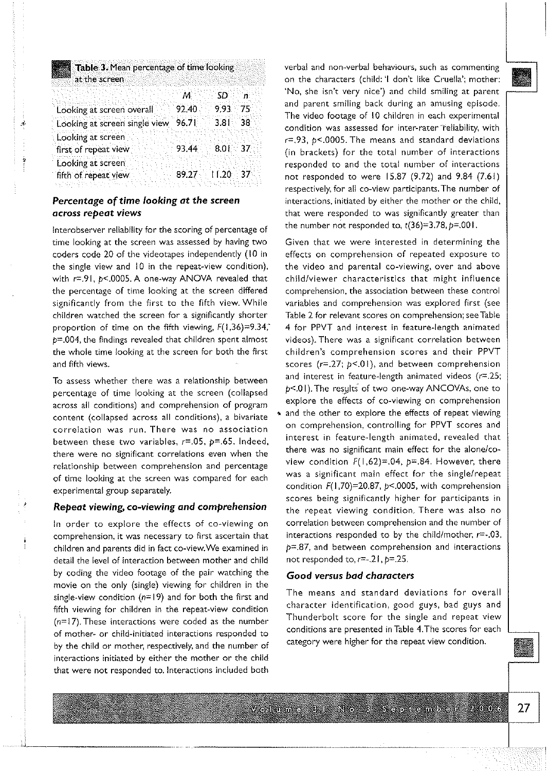**Table 3.** Mean percentage of time looking at the screen  $M$  SD Looking at screen overall 92.40 9.93 Looking at screen single view 96.71 3.81 Looking at screen first of repeat view 93.44 8.01 Looking at screen fifth of repeat view 89.27 *n*  75 38 37  $11.20 - 37$ 

 $\lambda$ 

### *Percentage* of time *looking at the* screen *across repeat views*

lnterobserver reliability for the scoring of percentage of time looking at the screen was assessed by having two coders code 20 of the videotapes independently (10 in the single view and 10 in the repeat-view condition), with r=.91, *p<.OOOS.* A one~way ANOYA revealed that the percentage of time looking at the screen differed significantly from the first to the fifth view. While children watched the screen for a signjficantly shorter proportion of time on the fifth viewing,  $F(1,36)=9.34$ ; p=.004, the findings revealed that children spent almost the whole time looking at the screen for both the first and fifth views.

To assess whether there was a relationship between percentage of time looking at the screen (collapsed across all conditions) and comprehension of program content (collapsed across all conditions), a bivariate correlation was run. There was no association between these two variables, r=.05, *p=.6S.* Indeed, there were no significant correlations even when the relationship between comprehension and percentage of time looking at the screen was compared for each experimental group separately.

#### *Repeat viewing, co-viewing and comprehension*

In order to explore the effects of co~viewing on comprehension, it was necessary to first ascertain that children and parents did in fact co~view.We examined in detail the level of interaction between mother and child by coding the video footage of the pair watching the movie on the only (Single) viewing for children in the single-view condition  $(n=19)$  and for both the first and fifth viewing for children in the repeat-view condition *(n=!* 7). These interactions were coded as the number of mother- or child-initiated interactions responded to by the child or mother, respectively, and the number of interactions initiated by either the mother or the child that were not responded to. Interactions included both verbal and non-verbal behaviours, such as commenting on the characters (child: 'I don't like Cruella'; mother: • 'No, she isn't very nice') and child smiling at parent and parent smiling back during an amusing episode. The video footage of 10 children in each experimental condition was assessed for inter-rater reliability, with  $r = 93$ ,  $p < 0005$ . The means and standard deviations (in brackets) for the total number of interactions responded to and the total number of interactions *not* responded to were 15.87 (9.72) and 9.84 (7,61) respectively, for all co-view participants, The number of interactions, initiated by either the mother or the child, that were responded to was significantly greater than the number not responded to, *t(36)=3.78, p=,OO* I,

Given that we were interested in determining the effects on comprehension of repeated exposure to the video and parental co-viewing, over and above child/viewer characteristics that might influence comprehension, the association between these control variables and comprehension was explored first (see Table 2 for relevant scores on comprehension; see Table 4 for PPVT and interest in feature-length animated Videos). There was a significant correlation between children's comprehension scores and their PPVT scores  $(r=.27; p<.01)$ , and between comprehension and interest in feature-length animated videos ( $r=0.25$ ; p<.01). The results of two one-way ANCOVAs, one to explore the effects of co-viewing on comprehension

**a** and the other to explore the effects of repeat viewing on comprehension, controlling for PPYT scores and interest in feature-length animated, revealed that there was no significant main effect for the *alone/co*view condition  $F(1,62)=0.04$ , p=.84. However, there was a significant main effect for the single/repeat condition  $F(1,70)=20.87$ ,  $p<.0005$ , with comprehension scores being significantly higher for participants in the repeat viewing condition. There was also no correlation between comprehension and the number of interactions responded to by the child/mother,  $r=-.03$ , p=.87, and between comprehension and interactions not responded to, r=-.21, *p=.25.* 

#### *Good versus bad* characters

Volume Mar No

The means and standard deviations for overall character identification, good guys, bad guys and Thunderbolt score for the single and repeat view conditions are presented in Table 4.The scores for each category were higher for the repeat view condition.

Septembe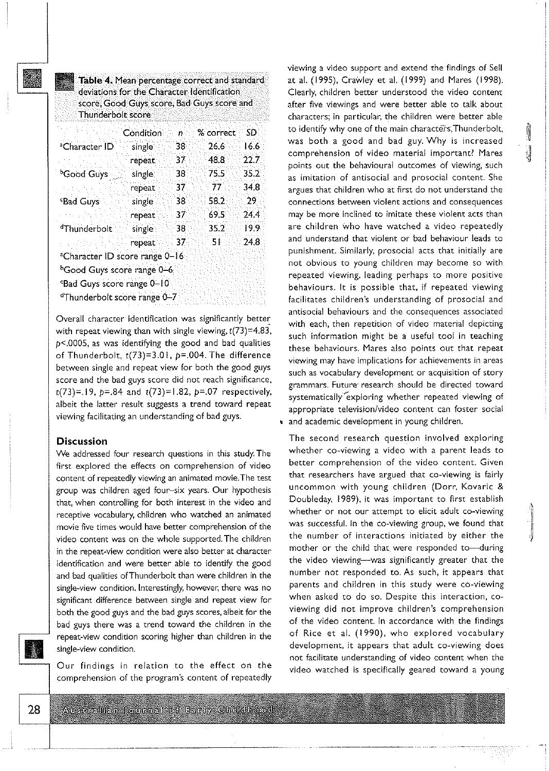**11 • Table 4.** Mean percentage correct and standard deviations for the Character Identification score, Good Guys score, Bad Guys score and Thunderbolt score

|                                            | Condition | n.  | % correct | SD   |  |  |  |  |
|--------------------------------------------|-----------|-----|-----------|------|--|--|--|--|
| <sup>a</sup> Character ID:                 | single    | 38  | 26.6      | 16.6 |  |  |  |  |
|                                            | repeat:   | 37  | 48.8      | 22.7 |  |  |  |  |
| <sup>b</sup> Good Guys                     | single:   | 38  | 75.5      | 35.2 |  |  |  |  |
|                                            | repeat    | 37. | 77        | 34.8 |  |  |  |  |
| Bad Guys                                   | single    | 38  | 58.2      | 29   |  |  |  |  |
|                                            | repeat    | 37. | 69.5      | 24.4 |  |  |  |  |
| dThunderbolt                               | single    | 38  | 35.2      | 19.9 |  |  |  |  |
|                                            | repeat    | 37  | 51        | 24.8 |  |  |  |  |
| <sup>a</sup> Character ID score range 0-16 |           |     |           |      |  |  |  |  |
| <sup>b</sup> Good Guys score range 0-6     |           |     |           |      |  |  |  |  |
| 'Bad Guys score range 0-10                 |           |     |           |      |  |  |  |  |
| <sup>d</sup> Thunderbolt score range 0-7   |           |     |           |      |  |  |  |  |

Overall character identification was significantly better with repeat viewing than with single viewing, *t(73)=4.83-, p<.OOOS,* as was identifying the good and bad qualities of Thunderbolt,  $t(73)=3.01$ , p=.004. The difference between single and repeat view for both the good guys score and the bad guys score did not reach significance,  $t(73)=.19$ ,  $p=.84$  and  $t(73)=1.82$ ,  $p=.07$  respectively, albeit the latter result suggests a trend toward repeat viewing fadlitating an understanding of bad guys.

#### **Discussion**

and<br>
and<br>
rep<br>
sing<br>
Ou<br>
Con<br>
con We addressed four research questions in this study. The first explored the effects on comprehension of video content of repeatedly viewing an animated movie. The test group was children aged four-six years. Our hypothesis that, when controlling for both interest in the video and receptive vocabulary, children who watched an animated movie five times would have better comprehension of the video content was on the whole supported. The children in the repeat~view condition were also better at character identification and were better able to identify the good and bad qualities of Thunderbolt than were children in the single-view condition. Interestingly, however, there was no significant difference between single and repeat view for both the good guys and the bad guys scores, albeit for the bad guys there was a trend toward the children in the repeat-view condition scoring higher than children in the single-view condition.

Our findings in relation to the effect on the comprehension of the program's content of repeatedly

viewing a video support and extend the findings of Sell at al. (1995), Crawley et al. (1999) and Mares (1998). Clearly, children better understood the video content after five viewings and were better able to talk about characters; in particular, the children were better able to identify why one of the main characters. Thunderbolt, was both a good and bad guy. Why is increased comprehension of video material important? Mares points out the behavioural outcomes of viewing, such as imitation of antisocial and prosodal content. She argues that children who at first do not understand the connections between violent actions and consequences may be more inclined to imitate these violent acts than are children who have watched a video repeatedly and understand that violent or bad behaviour leads to punishment. Similarly, prosocial acts that initially are not obvious to young children may become so with repeated viewing, leading perhaps to more positive behaviours. It is possible that, if repeated viewing facilitates children's understanding of prosocial and antisocial behaviours and the consequences associated with each, then repetition of video material depicting such information might be a useful tool in teaching these behaviours. Mares also points out that repeat viewing may have implications for achievements in areas such as vocabulary development or acquisition of story grammars. Future' research should be directed toward systematically exploring whether repeated viewing of appropriate television/video content can foster social and academic development in young children.

The second research question involved exploring whether co-viewing a video with a parent leads to better comprehension of the video content. Given that researchers have argued that co~viewing is fairly uncommon with young children (Dorr, Kovaric & Doubleday, 1989), it was important to first establish whether or not our attempt to elicit adult co-viewing was successful. In the co~viewing group, we found that the number of interactions initiated by either the mother or the child that were responded to-during the video viewing--was significantly greater that the number not responded to. As such, it appears that parents and children in this study were co-viewing when asked to do so. Despite this interaction, coviewing did not improve children's comprehension of the video content. In accordance with the findings of Rice et al. (1990), who explored vocabulary development, it appears that adult co~viewing does not facilitate understanding of video content when the video watched is specifically geared toward a young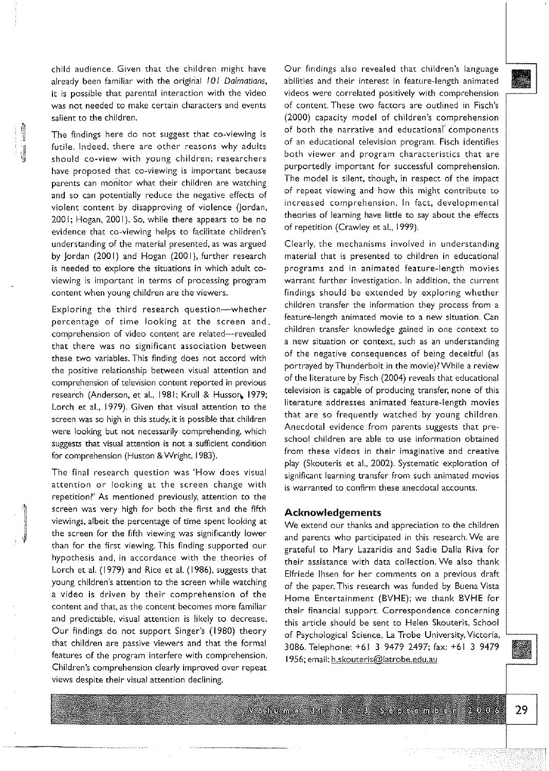

child audience. Given that the children might have already been familiar with the origin'al *10* J *Dalmatians,*  it is possible that parental interaction with the video was not needed to make certain characters and events salient to the children.

The findings here do not suggest that co~viewing is futile. Indeed, there are other reasons why adults should co~view with young children; researchers have proposed that co-viewing is important because parents can monitor what their children are watching and so can potentially reduce the negative effects of violent content by disapproving of violence (Jordan, 2001; Hogan, 2001). So, while there appears to be no evidence that co~viewing helps to facilitate children's understanding of the material presented, as was argued by Jordan (2001) and Hogan (2001), further research is needed to explore the situations in which adult co~ viewing is important in terms of processing program content when young children are the viewers.

Exploring the third research question-whether percentage of time looking at the screen and. comprehension of video content are related-revealed that there was no significant association between these two variables. This finding does not accord with the positive relationship between visual attention and comprehension of television content reported in previous research (Anderson, et al., 1981: Krull & Husson, 1979; Lorch et al., 1979). Given that visual attention to the screen was so high in this study, it is possible that children were looking but not necessarily comprehending, which suggests that visual attention is not a sufficient condition for comprehension (Huston & Wright, 1983).

The final research question was 'How does visual attention or looking at the screen change with repetition?' As mentioned previously, attention to the screen was very high for both the first and the fifth viewings, albeit the percentage of time spent looking at the screen for the fifth viewing was significantly lower than for the first viewing. This finding supported our hypothesis and, in accordance with the theories of Lorch et al. (1979) and Rice et al. (1986), suggests that young children's attention to the screen while watching a video is driven by their comprehension of the content and that, as the content becomes more familiar and predictable, visual attention is likely to decrease. Our findings do not support Singer's (1980) theory that children are passive viewers and that the formal features of the program interfere with comprehension. Children's comprehension clearly improved over repeat views despite their visual attention declining.

'I I. I

Our findings also revealed that children's language • abilities and their interest in feature~!ength animated videos were correlated positively with comprehension of content. These two factors are outlined in Fisch's (2000) capacity model of children's comprehension of both the narrative and educational components of an educational television program. Fisch identifies both viewer and program characteristics that are purportedly important for successful comprehension. The model is silent, though, in respect of the impact of repeat viewing and how this might contribute to increased comprehension. In fact, developmental theories of learning have little to say about the effects of repetition (Crawley et al., ! 999).

Clearly, the mechanisms involved in understanding material that is presented to children in educational programs and in animated feature~length movies warrant further investigation. In addition, the current findings should be extended by exploring whether children transfer the information they process from a feature-length animated movie to a new situation. Can children transfer knowledge gained in one context to a new situation or context, such as an understanding of the negative consequences of being deceitful (as portrayed by Thunderbolt in the movie)? While a review of the literature by Fisch (2004) reveals that educational television is capable of producing transfer, none of this literature addresses animated feature-length movies that are so frequently watched by young children. Anecdotal evidence from parents suggests that pre~ school children are able to use information obtained from these videos in their imaginative and creative play (Skouteris et al., 2002). Systematic exploration of significant learning transfer from such animated movies is warranted to confirm these anecdotal accounts.

#### Acknowledgements

We extend our thanks and appreciation to the children and parents who participated in this research. We are grateful to Mary Lazaridis and Sadie Dalla Riva for their assistance with data collection. We also thank Elfriede Ihsen for her comments on a previous draft of the paper. This research was funded by Buena Vista Home Entertainment (BVHE); we thank BVHE for their financial support. Correspondence concerning this article should be sent to Helen Skouteris, School of Psychological Science, La Trobe University, Victoria, 3086. Telephone: +61 3 9479 2497: fax: +61 3 9479 1956; emaij; h.skouteris@!atrobe.edu.au 11

Volume 34 No 3 September

240 O G